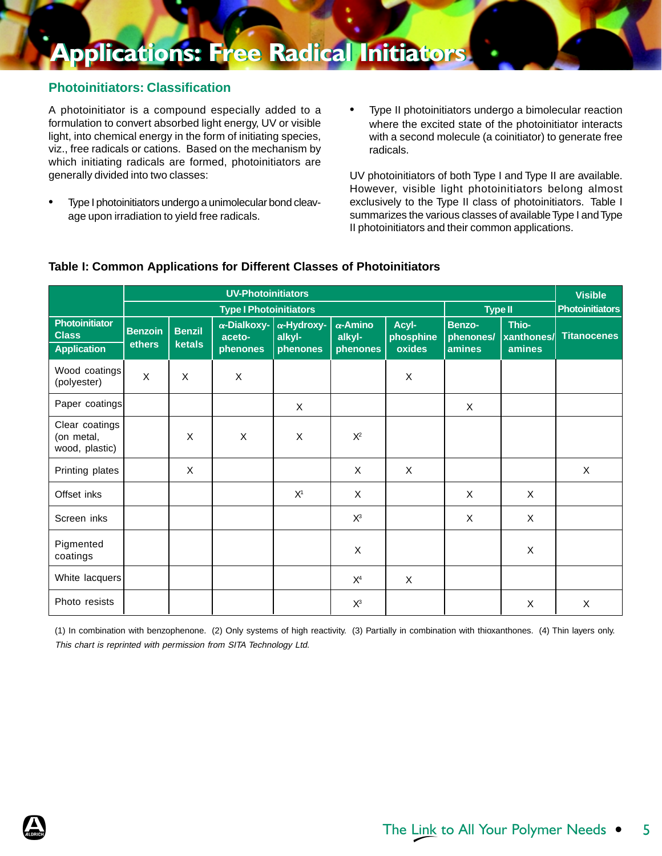#### **Photoinitiators: Classification**

A photoinitiator is a compound especially added to a formulation to convert absorbed light energy, UV or visible light, into chemical energy in the form of initiating species, viz., free radicals or cations. Based on the mechanism by which initiating radicals are formed, photoinitiators are generally divided into two classes:

- Type I photoinitiators undergo a unimolecular bond cleavage upon irradiation to yield free radicals.
- Type II photoinitiators undergo a bimolecular reaction where the excited state of the photoinitiator interacts with a second molecule (a coinitiator) to generate free radicals.

UV photoinitiators of both Type I and Type II are available. However, visible light photoinitiators belong almost exclusively to the Type II class of photoinitiators. Table I summarizes the various classes of available Type I and Type II photoinitiators and their common applications.

|                                                | <b>UV-Photoinitiators</b>     |                         |                                           |                                  |                                       |                              |                               |                                      |                    |
|------------------------------------------------|-------------------------------|-------------------------|-------------------------------------------|----------------------------------|---------------------------------------|------------------------------|-------------------------------|--------------------------------------|--------------------|
|                                                | <b>Type I Photoinitiators</b> |                         |                                           |                                  |                                       | <b>Type II</b>               |                               | <b>Photoinitiators</b>               |                    |
| Photoinitiator<br><b>Class</b><br>Application  | <b>Benzoin</b><br>ethers      | <b>Benzil</b><br>ketals | $\alpha$ -Dialkoxy-<br>aceto-<br>phenones | α-Hydroxy-<br>alkyl-<br>phenones | $\alpha$ -Amino<br>alkyl-<br>phenones | Acyl-<br>phosphine<br>oxides | Benzo-<br>phenones/<br>amines | Thio-<br><b>xanthones/</b><br>amines | <b>Titanocenes</b> |
| Wood coatings<br>(polyester)                   | $\mathsf{X}$                  | X                       | $\mathsf{X}$                              |                                  |                                       | $\pmb{\times}$               |                               |                                      |                    |
| Paper coatings                                 |                               |                         |                                           | X                                |                                       |                              | $\times$                      |                                      |                    |
| Clear coatings<br>(on metal,<br>wood, plastic) |                               | X                       | X                                         | X                                | $X^2$                                 |                              |                               |                                      |                    |
| Printing plates                                |                               | X                       |                                           |                                  | X                                     | X                            |                               |                                      | X                  |
| Offset inks                                    |                               |                         |                                           | X <sup>1</sup>                   | X                                     |                              | $\times$                      | X                                    |                    |
| Screen inks                                    |                               |                         |                                           |                                  | $X^3$                                 |                              | X                             | X                                    |                    |
| Pigmented<br>coatings                          |                               |                         |                                           |                                  | X                                     |                              |                               | X                                    |                    |
| White lacquers                                 |                               |                         |                                           |                                  | X <sup>4</sup>                        | X                            |                               |                                      |                    |
| Photo resists                                  |                               |                         |                                           |                                  | $X^3$                                 |                              |                               | X                                    | X                  |

#### **Table I: Common Applications for Different Classes of Photoinitiators**

(1) In combination with benzophenone. (2) Only systems of high reactivity. (3) Partially in combination with thioxanthones. (4) Thin layers only. This chart is reprinted with permission from SITA Technology Ltd.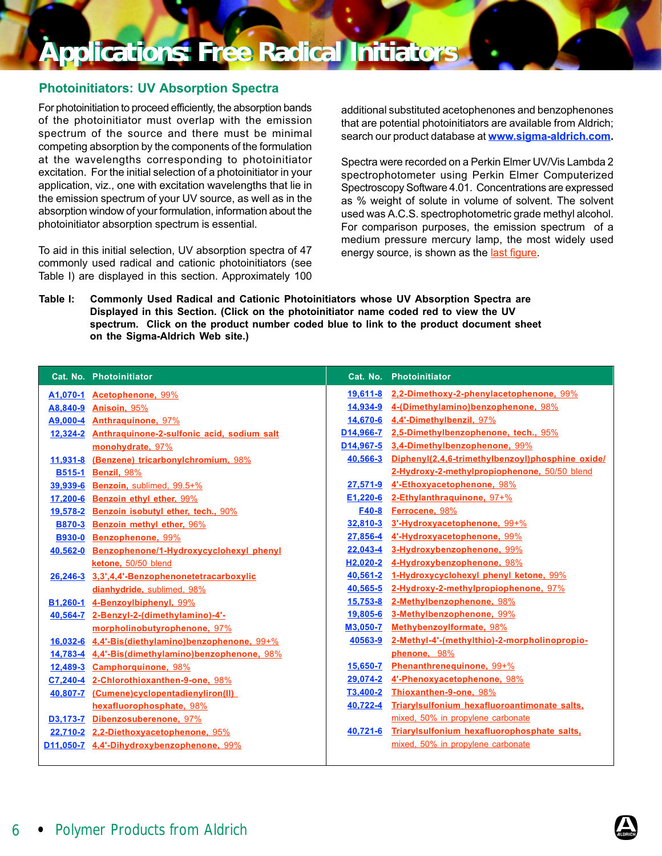### **Applications: Free Radical Initiators Applications: Free Radical Initiators**

#### Photoinitiators: UV Absorption Spectra

For photoinitiation to proceed efficiently, the absorption bands of the photoinitiator must overlap with the emission spectrum of the source and there must be minimal competing absorption by the components of the formulation at the wavelengths corresponding to photoinitiator excitation. For the initial selection of a photoinitiator in your application, viz., one with excitation wavelengths that lie in the emission spectrum of your UV source, as well as in the absorption window of your formulation, information about the photoinitiator absorption spectrum is essential.

To aid in this initial selection, UV absorption spectra of 47 commonly used radical and cationic photoinitiators (see Table I) are displayed in this section. Approximately 100 additional substituted acetophenones and benzophenones that are potential photoinitiators are available from Aldrich; search our product database at **[www.sigma-aldrich.com.](https://www.sigma-aldrich.com/)** 

Spectra were recorded on a Perkin Elmer UV/Vis Lambda 2 spectrophotometer using Perkin Elmer Computerized Spectroscopy Software 4.01. Concentrations are expressed as % weight of solute in volume of solvent. The solvent used was A.C.S. spectrophotometric grade methyl alcohol. For comparison purposes, the emission spectrum of a medium pressure mercury lamp, the most widely used energy source, is shown as [the last figur](#page-14-0)e.

Table I: Commonly Used Radical and Cationic Photoinitiators whose UV Absorption Spectra are Displayed in this Section. (Click on the photoinitiator name coded red to view the UV spectrum. Click on the product number coded blue to link to the product document sheet on the Sigma-Aldrich Web site.)

|               | <b>Cat. No. Photoinitiator</b>                      |          | <b>Cat. No. Photoinitiator</b>                   |
|---------------|-----------------------------------------------------|----------|--------------------------------------------------|
|               | A1,070-1 Acetophenone, 99%                          |          | 19,611-8 2,2-Dimethoxy-2-phenylacetophenone, 99% |
|               | A8,840-9 Anisoin, 95%                               |          | 14,934-9 4-(Dimethylamino)benzophenone, 98%      |
|               | A9,000-4 Anthraguinone, 97%                         |          | 14,670-6 4,4'-Dimethylbenzil, 97%                |
|               | 12,324-2 Anthraguinone-2-sulfonic acid, sodium salt |          | D14,966-7 2,5-Dimethylbenzophenone, tech., 95%   |
|               | monohydrate, 97%                                    |          | D14,967-5 3,4-Dimethylbenzophenone, 99%          |
| $11,931-8$    | (Benzene) tricarbonylchromium, 98%                  | 40,566-3 | Diphenyl(2,4,6-trimethylbenzoyl)phosphine oxide/ |
| <b>B515-1</b> | Benzil, 98%                                         |          | 2-Hydroxy-2-methylpropiophenone, 50/50 blend     |
| 39,939-6      | Benzoin, sublimed, 99.5+%                           | 27.571-9 | 4'-Ethoxyacetophenone, 98%                       |
| 17,200-6      | Benzoin ethyl ether, 99%                            |          | E1,220-6 2-Ethylanthraquinone, $97+%$            |
| 19,578-2      | Benzoin isobutyl ether, tech., 90%                  | F40-8    | Ferrocene, 98%                                   |
| <b>B870-3</b> | Benzoin methyl ether, 96%                           |          | 32,810-3 3'-Hydroxyacetophenone, 99+%            |
| <b>B930-0</b> | Benzophenone, 99%                                   | 27,856-4 | 4'-Hydroxyacetophenone, 99%                      |
|               | 40,562-0 Benzophenone/1-Hydroxycyclohexyl phenyl    |          | 22,043-4 3-Hydroxybenzophenone, 99%              |
|               | ketone, 50/50 blend                                 |          | H2,020-2 4-Hydroxybenzophenone, 98%              |
|               | 26,246-3 3,3',4,4'-Benzophenonetetracarboxylic      |          | 40,561-2 1-Hydroxycyclohexyl phenyl ketone, 99%  |
|               | dianhydride, sublimed, 98%                          | 40,565-5 | 2-Hydroxy-2-methylpropiophenone, 97%             |
|               | B1,260-1 4-Benzoylbiphenyl, 99%                     | 15.753-8 | 2-Methylbenzophenone, 98%                        |
|               | 40,564-7 2-Benzyl-2-(dimethylamino)-4'-             |          | 19,805-6 3-Methylbenzophenone, 99%               |
|               | morpholinobutyrophenone, 97%                        | M3,050-7 | Methybenzoylformate, 98%                         |
|               | 16,032-6 4,4'-Bis(diethylamino)benzophenone, 99+%   | 40563-9  | 2-Methyl-4'-(methylthio)-2-morpholinopropio-     |
|               | 14,783-4 4,4'-Bis(dimethylamino)benzophenone, 98%   |          | phenone, 98%                                     |
|               | 12,489-3 Camphorquinone, 98%                        | 15,650-7 | Phenanthrenequinone, 99+%                        |
|               | C7,240-4 2-Chlorothioxanthen-9-one, 98%             |          | 29,074-2 4'-Phenoxyacetophenone, 98%             |
|               | 40,807-7 (Cumene)cyclopentadienyliron(II)           |          | <b>T3,400-2 Thioxanthen-9-one, 98%</b>           |
|               | hexafluorophosphate, 98%                            | 40,722-4 | Triarylsulfonium hexafluoroantimonate salts,     |
|               | D3,173-7 Dibenzosuberenone, 97%                     |          | mixed, 50% in propylene carbonate                |
|               | 22,710-2 2,2-Diethoxyacetophenone, 95%              | 40,721-6 | Triarylsulfonium hexafluorophosphate salts,      |
|               | D11,050-7 4,4'-Dihydroxybenzophenone, 99%           |          | mixed, 50% in propylene carbonate                |
|               |                                                     |          |                                                  |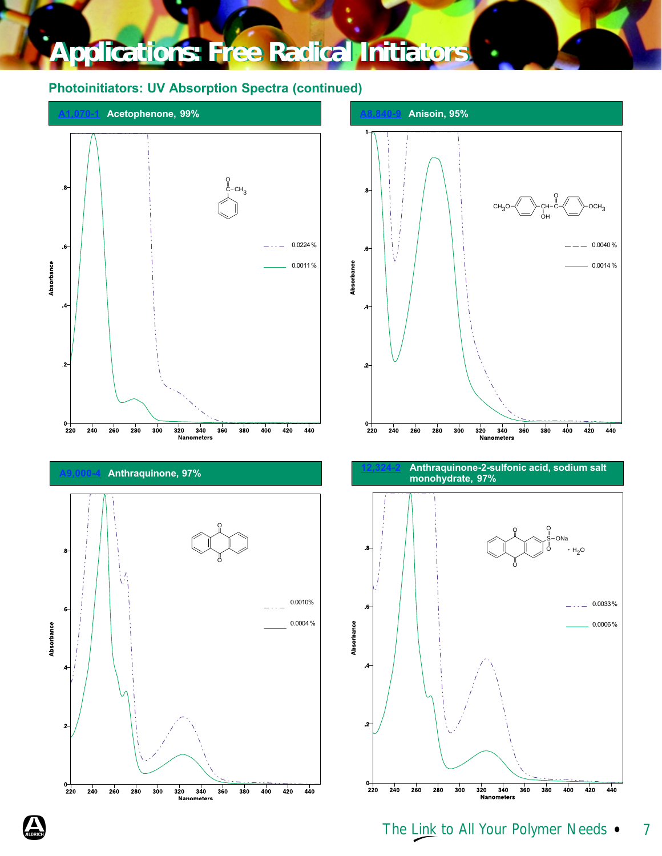<span id="page-2-0"></span>

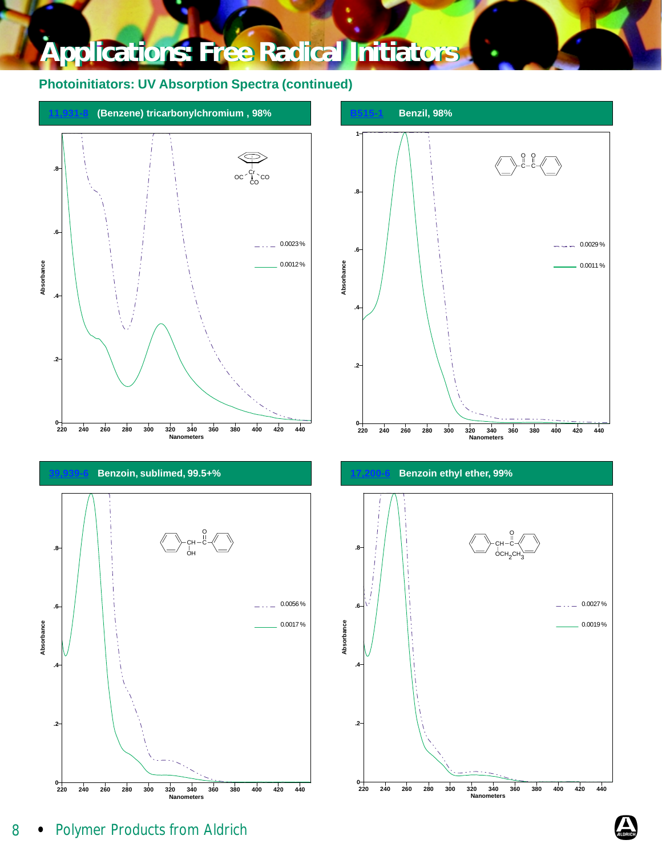<span id="page-3-0"></span>







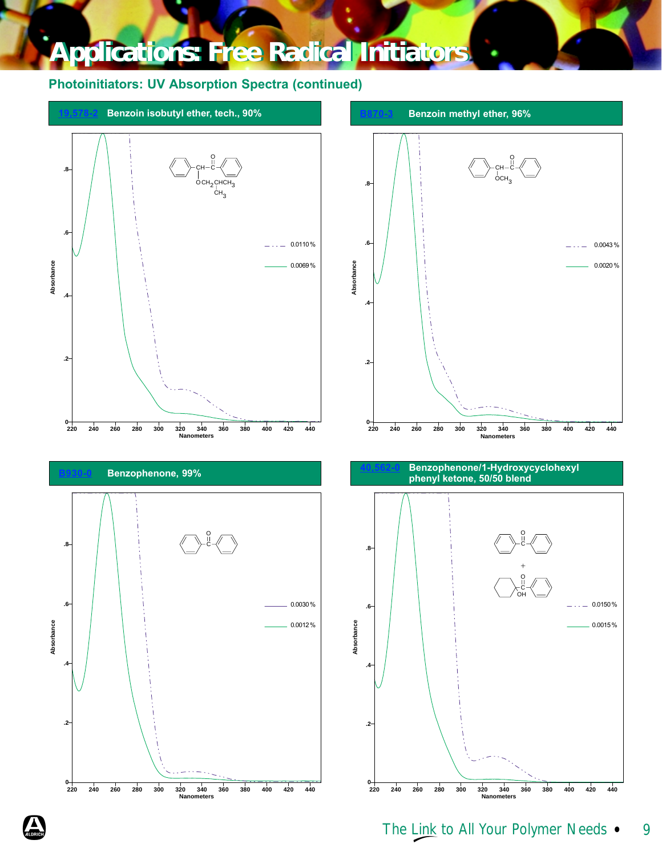<span id="page-4-0"></span>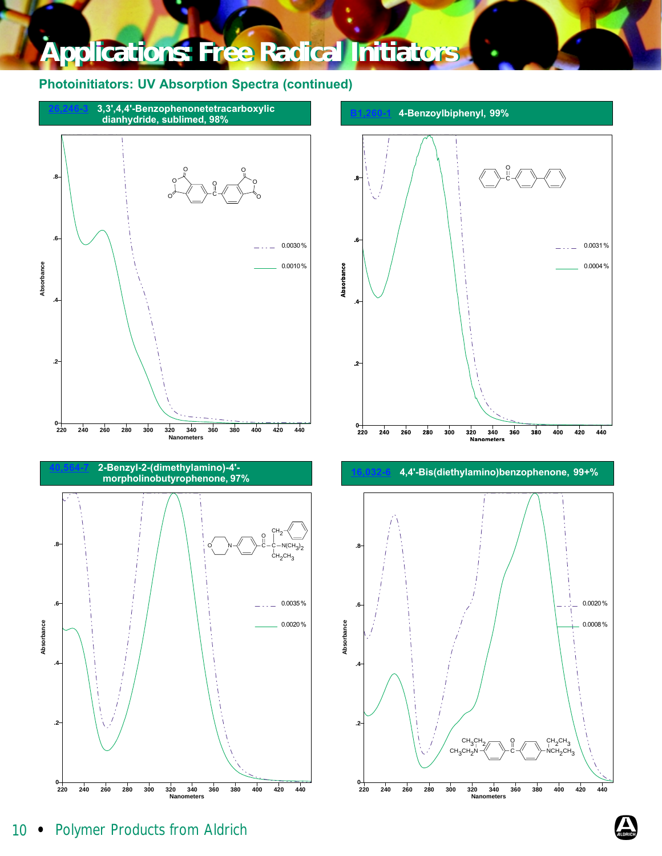<span id="page-5-0"></span>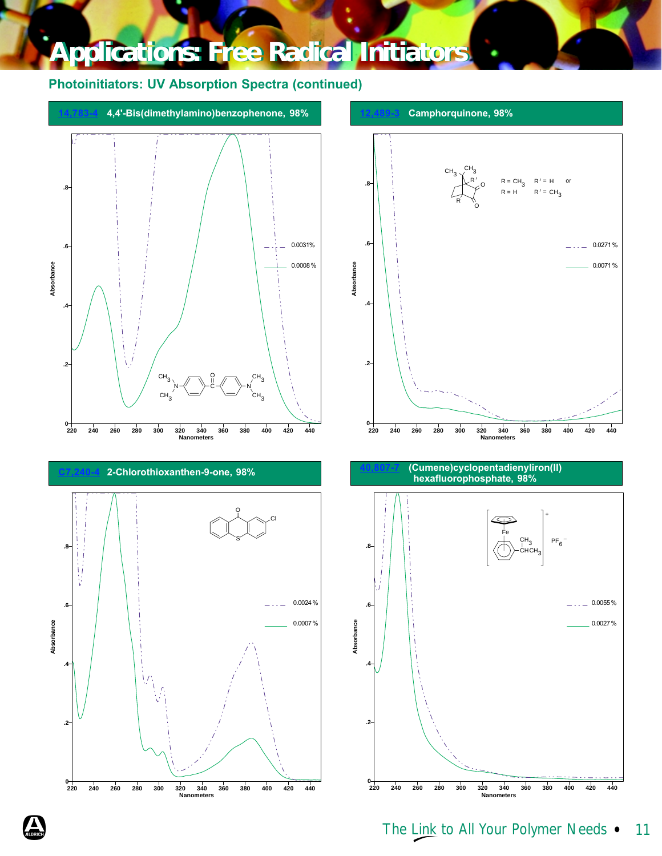<span id="page-6-0"></span>



hexafluorophosphate, 98%

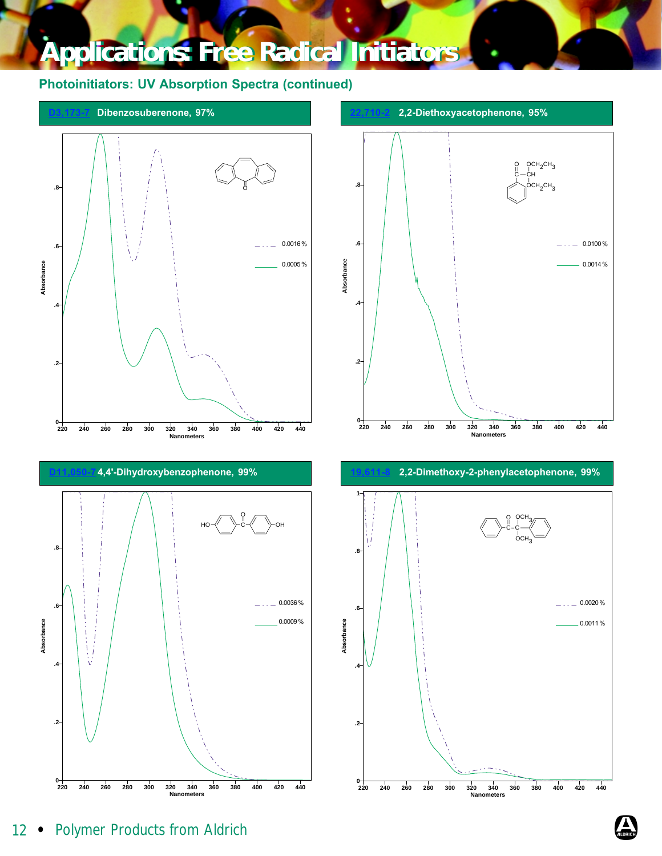### <span id="page-7-0"></span>Photoinitiators: UV Absorption Spectra (continued)





 $\cdots$  0.0100%  $-0.0014%$ 

> $-0.0020\%$  $0.0011\%$

С $-$ СН  $QCH<sub>2</sub>CH<sub>3</sub>$ 

осн $_3$ C

осн $_{2}$ сн $_{3}$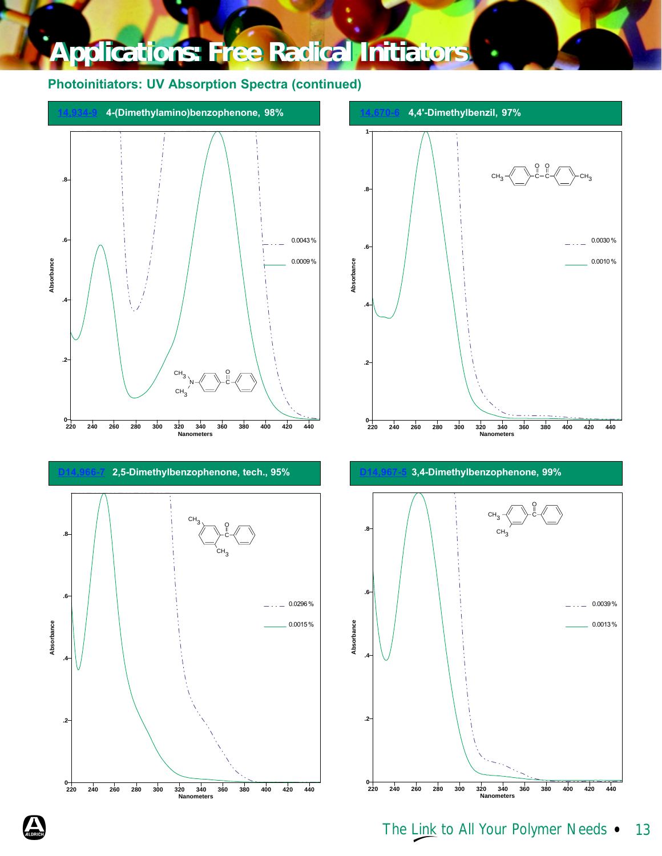### <span id="page-8-0"></span>Photoinitiators: UV Absorption Spectra (continued)



**1** O O сн $_3$ - $\ll$   $\rightarrow$ с–с- $\ll$   $\rightarrow$ сн $_3$ C C **.8**  $\cdots$  0.0030 % **.6** 0.0010 % Absorbance **Absorbance .4 .2**  $\frac{0}{220}$ را<br>120 danometers  **220 240 260 280 300 320 340 360 380 400 420 440** 





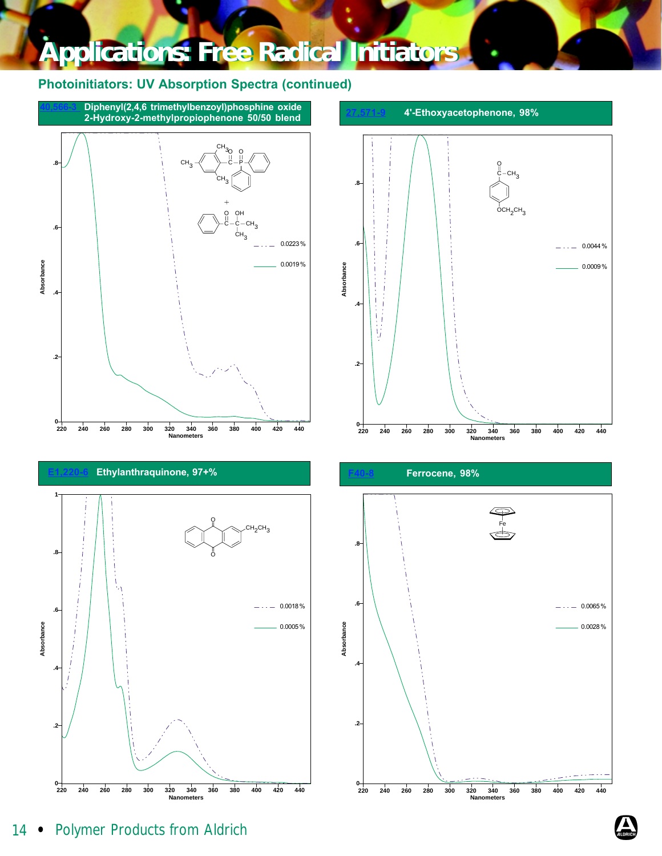<span id="page-9-0"></span>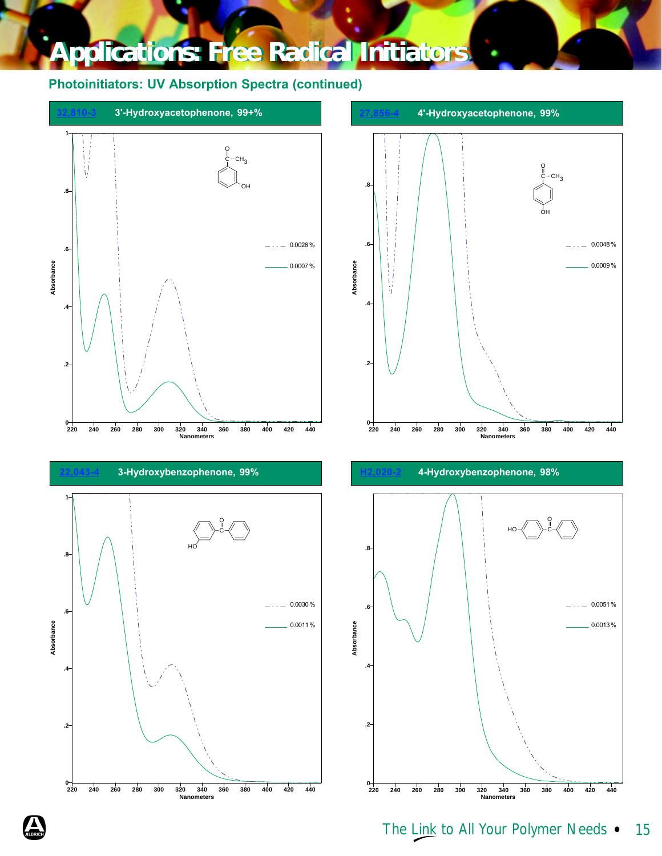<span id="page-10-0"></span>

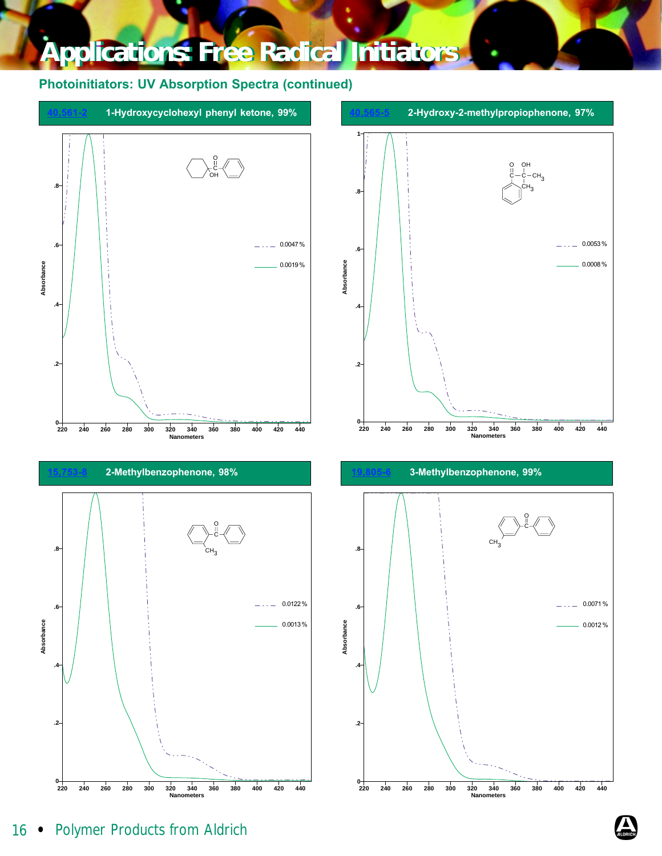<span id="page-11-0"></span>

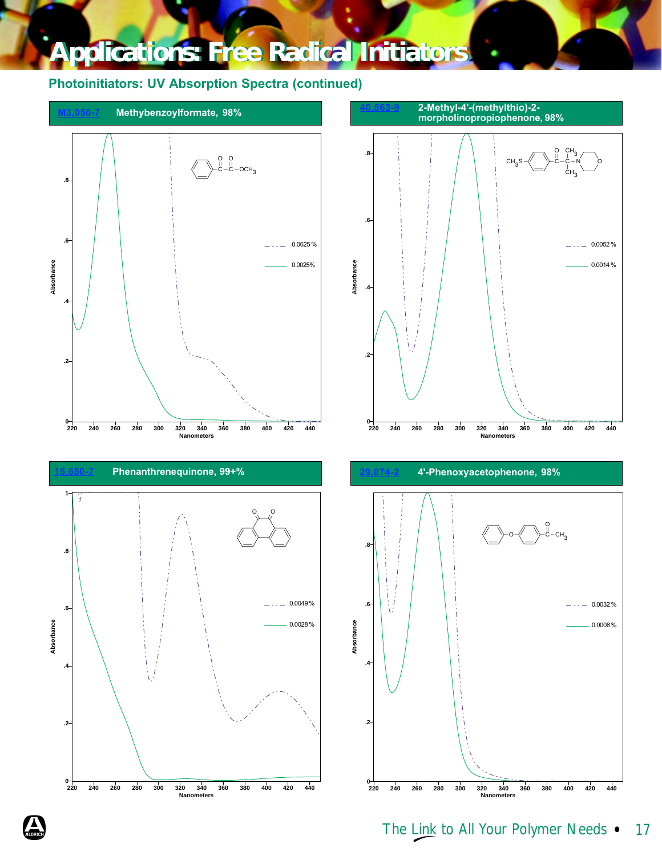### <span id="page-12-0"></span>Photoinitiators: UV Absorption Spectra (continued)



 **220 240 260 280 300 320 340 360 380 400 420 440 Nanometers**





 $^{0+}_{220}$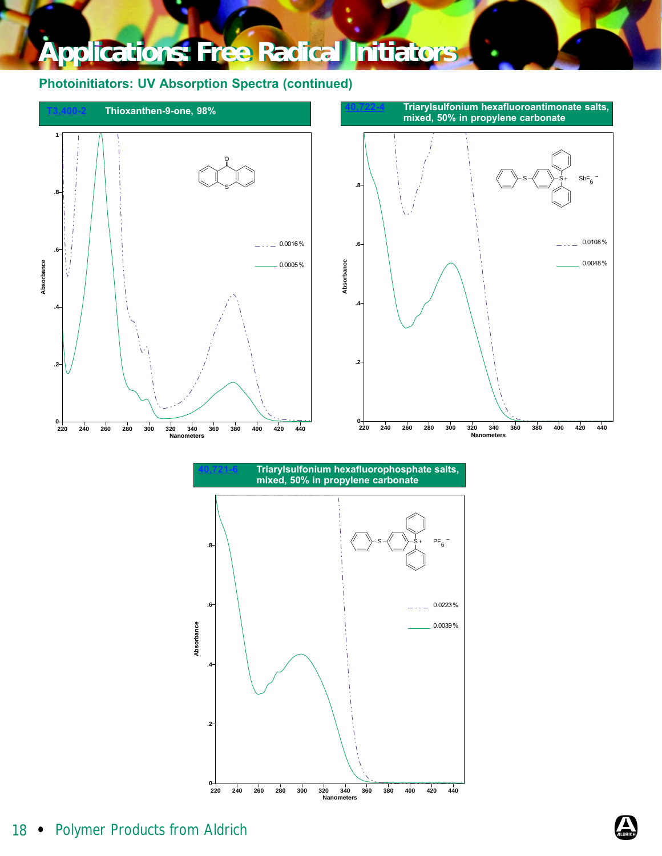<span id="page-13-0"></span>